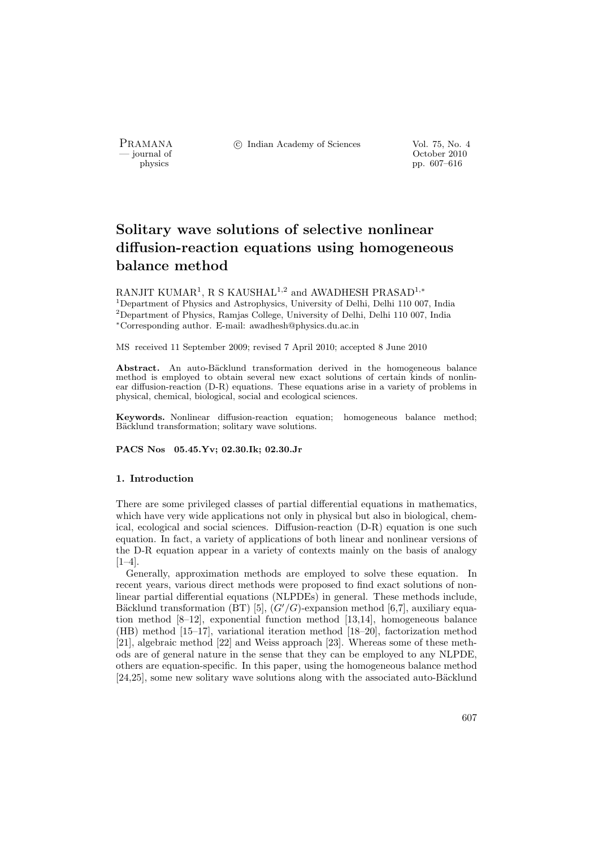PRAMANA <sup>C</sup> Indian Academy of Sciences Vol. 75, No. 4<br>
— journal of Cortober 2010

position of the contract of the contract of the contract of the contract of the contract of the contract of the contract of the contract of the contract of the contract of the contract of the contract of the contract of th physics pp. 607–616

# Solitary wave solutions of selective nonlinear diffusion-reaction equations using homogeneous balance method

RANJIT KUMAR<sup>1</sup>, R S KAUSHAL<sup>1,2</sup> and AWADHESH PRASAD<sup>1,∗</sup> <sup>1</sup>Department of Physics and Astrophysics, University of Delhi, Delhi 110 007, India <sup>2</sup>Department of Physics, Ramjas College, University of Delhi, Delhi 110 007, India <sup>∗</sup>Corresponding author. E-mail: awadhesh@physics.du.ac.in

MS received 11 September 2009; revised 7 April 2010; accepted 8 June 2010

Abstract. An auto-Bäcklund transformation derived in the homogeneous balance method is employed to obtain several new exact solutions of certain kinds of nonlinear diffusion-reaction (D-R) equations. These equations arise in a variety of problems in physical, chemical, biological, social and ecological sciences.

Keywords. Nonlinear diffusion-reaction equation; homogeneous balance method; Bäcklund transformation; solitary wave solutions.

PACS Nos 05.45.Yv; 02.30.Ik; 02.30.Jr

## 1. Introduction

There are some privileged classes of partial differential equations in mathematics, which have very wide applications not only in physical but also in biological, chemical, ecological and social sciences. Diffusion-reaction (D-R) equation is one such equation. In fact, a variety of applications of both linear and nonlinear versions of the D-R equation appear in a variety of contexts mainly on the basis of analogy  $[1-4]$ .

Generally, approximation methods are employed to solve these equation. In recent years, various direct methods were proposed to find exact solutions of nonlinear partial differential equations (NLPDEs) in general. These methods include, Bäcklund transformation (BT) [5],  $(G'/G)$ -expansion method [6,7], auxiliary equation method [8–12], exponential function method [13,14], homogeneous balance (HB) method [15–17], variational iteration method [18–20], factorization method [21], algebraic method [22] and Weiss approach [23]. Whereas some of these methods are of general nature in the sense that they can be employed to any NLPDE, others are equation-specific. In this paper, using the homogeneous balance method [24,25], some new solitary wave solutions along with the associated auto-Bäcklund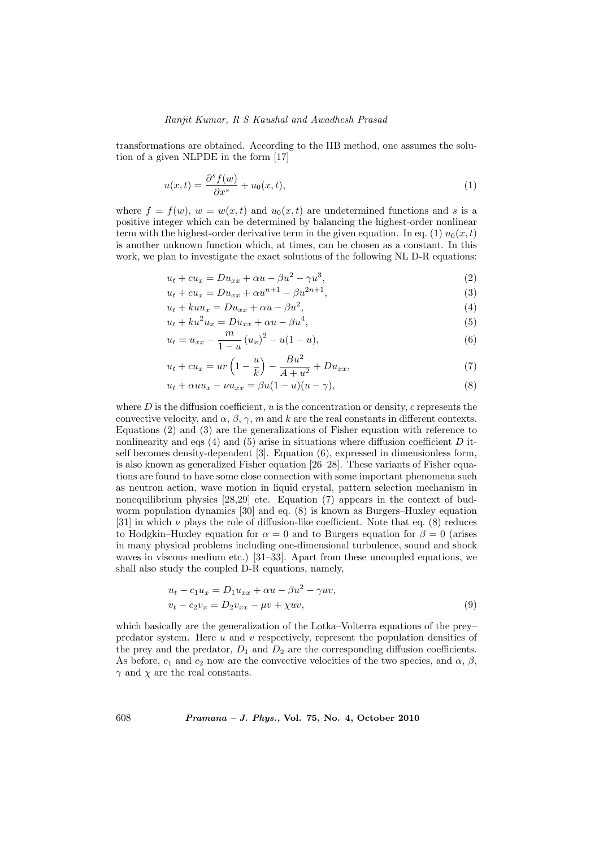transformations are obtained. According to the HB method, one assumes the solution of a given NLPDE in the form [17]

$$
u(x,t) = \frac{\partial^s f(w)}{\partial x^s} + u_0(x,t),\tag{1}
$$

where  $f = f(w)$ ,  $w = w(x, t)$  and  $u_0(x, t)$  are undetermined functions and s is a positive integer which can be determined by balancing the highest-order nonlinear term with the highest-order derivative term in the given equation. In eq. (1)  $u_0(x,t)$ is another unknown function which, at times, can be chosen as a constant. In this work, we plan to investigate the exact solutions of the following NL D-R equations:

$$
u_t + cu_x = Du_{xx} + \alpha u - \beta u^2 - \gamma u^3,\tag{2}
$$

$$
u_t + cu_x = Du_{xx} + \alpha u^{n+1} - \beta u^{2n+1},
$$
\n(3)

$$
u_t + kuu_x = Du_{xx} + \alpha u - \beta u^2,\tag{4}
$$

$$
u_t + ku^2 u_x = Du_{xx} + \alpha u - \beta u^4,\tag{5}
$$

$$
u_t = u_{xx} - \frac{m}{1-u} (u_x)^2 - u(1-u),
$$
\n(6)

$$
u_t + cu_x = ur\left(1 - \frac{u}{k}\right) - \frac{Bu^2}{A + u^2} + Du_{xx},
$$
\n(7)

$$
u_t + \alpha u u_x - \nu u_{xx} = \beta u (1 - u)(u - \gamma), \tag{8}
$$

where  $D$  is the diffusion coefficient,  $u$  is the concentration or density, c represents the convective velocity, and  $\alpha$ ,  $\beta$ ,  $\gamma$ , m and k are the real constants in different contexts. Equations (2) and (3) are the generalizations of Fisher equation with reference to nonlinearity and eqs  $(4)$  and  $(5)$  arise in situations where diffusion coefficient D itself becomes density-dependent [3]. Equation (6), expressed in dimensionless form, is also known as generalized Fisher equation [26–28]. These variants of Fisher equations are found to have some close connection with some important phenomena such as neutron action, wave motion in liquid crystal, pattern selection mechanism in nonequilibrium physics [28,29] etc. Equation (7) appears in the context of budworm population dynamics [30] and eq. (8) is known as Burgers–Huxley equation [31] in which  $\nu$  plays the role of diffusion-like coefficient. Note that eq. (8) reduces to Hodgkin–Huxley equation for  $\alpha = 0$  and to Burgers equation for  $\beta = 0$  (arises in many physical problems including one-dimensional turbulence, sound and shock waves in viscous medium etc.) [31–33]. Apart from these uncoupled equations, we shall also study the coupled D-R equations, namely,

$$
u_t - c_1 u_x = D_1 u_{xx} + \alpha u - \beta u^2 - \gamma u v,
$$
  
\n
$$
v_t - c_2 v_x = D_2 v_{xx} - \mu v + \chi u v,
$$
\n(9)

which basically are the generalization of the Lotka–Volterra equations of the prey– predator system. Here  $u$  and  $v$  respectively, represent the population densities of the prey and the predator,  $D_1$  and  $D_2$  are the corresponding diffusion coefficients. As before,  $c_1$  and  $c_2$  now are the convective velocities of the two species, and  $\alpha$ ,  $\beta$ ,  $\gamma$  and  $\chi$  are the real constants.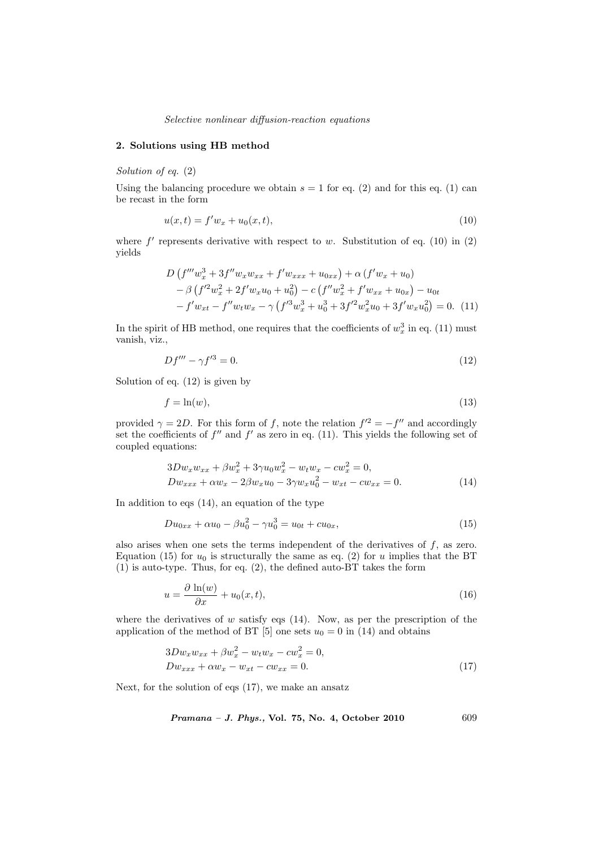#### 2. Solutions using HB method

Solution of eq.  $(2)$ 

Using the balancing procedure we obtain  $s = 1$  for eq. (2) and for this eq. (1) can be recast in the form

$$
u(x,t) = f'w_x + u_0(x,t),
$$
\n(10)

where  $f'$  represents derivative with respect to w. Substitution of eq. (10) in (2) yields

$$
D\left(f'''w_x^3 + 3f''w_xw_{xx} + f'w_{xxx} + u_{0xx}\right) + \alpha\left(f'w_x + u_0\right) - \beta\left(f'^2w_x^2 + 2f'w_xu_0 + u_0^2\right) - c\left(f''w_x^2 + f'w_{xx} + u_{0x}\right) - u_{0t} - f'w_{xt} - f''w_tw_x - \gamma\left(f'^3w_x^3 + u_0^3 + 3f'^2w_x^2u_0 + 3f'w_xu_0^2\right) = 0. \tag{11}
$$

In the spirit of HB method, one requires that the coefficients of  $w_x^3$  in eq. (11) must vanish, viz.,

$$
Df''' - \gamma f'^3 = 0.\t(12)
$$

Solution of eq. (12) is given by

$$
f = \ln(w),\tag{13}
$$

provided  $\gamma = 2D$ . For this form of f, note the relation  $f'^2 = -f''$  and accordingly set the coefficients of  $f''$  and  $f'$  as zero in eq. (11). This yields the following set of coupled equations:

$$
3Dw_xw_{xx} + \beta w_x^2 + 3\gamma u_0 w_x^2 - w_t w_x - c w_x^2 = 0,
$$
  
\n
$$
Dw_{xxx} + \alpha w_x - 2\beta w_x u_0 - 3\gamma w_x u_0^2 - w_{xt} - c w_{xx} = 0.
$$
\n(14)

In addition to eqs (14), an equation of the type

$$
Du_{0xx} + \alpha u_0 - \beta u_0^2 - \gamma u_0^3 = u_{0t} + cu_{0x},\tag{15}
$$

also arises when one sets the terms independent of the derivatives of  $f$ , as zero. Equation (15) for  $u_0$  is structurally the same as eq. (2) for u implies that the BT (1) is auto-type. Thus, for eq. (2), the defined auto-BT takes the form

$$
u = \frac{\partial \ln(w)}{\partial x} + u_0(x, t),\tag{16}
$$

where the derivatives of  $w$  satisfy eqs  $(14)$ . Now, as per the prescription of the application of the method of BT [5] one sets  $u_0 = 0$  in (14) and obtains

$$
3Dw_xw_{xx} + \beta w_x^2 - w_t w_x - c w_x^2 = 0,
$$
  
\n
$$
Dw_{xxx} + \alpha w_x - w_{xt} - c w_{xx} = 0.
$$
\n(17)

Next, for the solution of eqs (17), we make an ansatz

Pramana – J. Phys., Vol. 75, No. 4, October 2010 609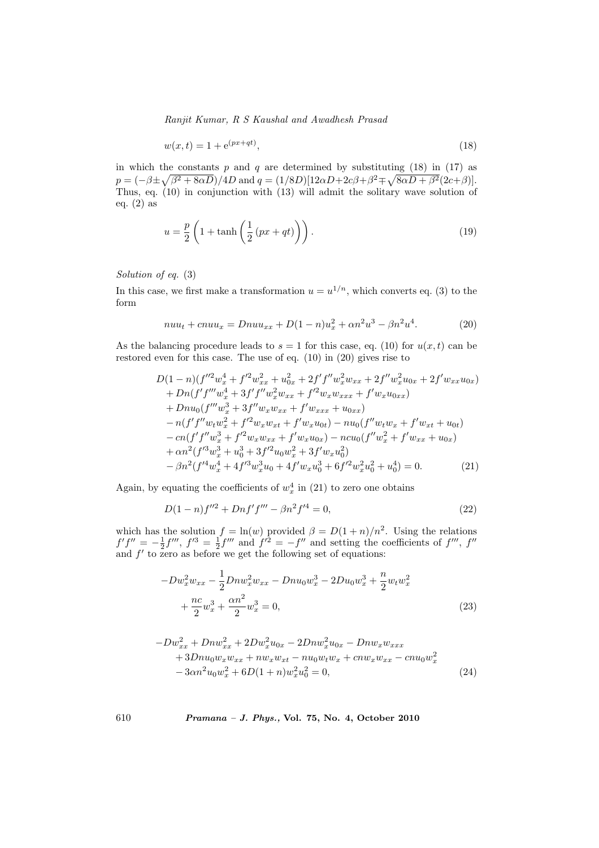$$
w(x,t) = 1 + e^{(px+qt)},
$$
\n(18)

in which the constants p and q are determined by substituting  $(18)$  in  $(17)$  as  $p = (-\beta \pm \sqrt{\beta^2 + 8\alpha D})/4D$  and  $q = (1/8D)[12\alpha D + 2c\beta + \beta^2 \mp \sqrt{8\alpha D + \beta^2}(2c+\beta)].$ Thus, eq. (10) in conjunction with (13) will admit the solitary wave solution of eq. (2) as

$$
u = \frac{p}{2} \left( 1 + \tanh\left(\frac{1}{2} \left(px + qt\right)\right) \right). \tag{19}
$$

Solution of eq.  $(3)$ 

In this case, we first make a transformation  $u = u^{1/n}$ , which converts eq. (3) to the form

$$
nuu_t + cnuu_x = Dnuu_{xx} + D(1 - n)u_x^2 + \alpha n^2 u^3 - \beta n^2 u^4. \tag{20}
$$

As the balancing procedure leads to  $s = 1$  for this case, eq. (10) for  $u(x, t)$  can be restored even for this case. The use of eq. (10) in (20) gives rise to

$$
D(1 - n)(f''^{2}w_{x}^{4} + f'^{2}w_{xx}^{2} + u_{0x}^{2} + 2f'f''w_{x}^{2}w_{xx} + 2f''w_{x}^{2}u_{0x} + 2f'w_{xx}u_{0x})
$$
  
+ 
$$
Dn(f'f'''w_{x}^{4} + 3f'f''w_{x}^{2}w_{xx} + f'^{2}w_{x}w_{xxx} + f'w_{x}u_{0xx})
$$
  
+ 
$$
Dnu_{0}(f''w_{x}^{3} + 3f''w_{x}w_{xx} + f'w_{xxx} + u_{0xx})
$$
  
- 
$$
n(f'f''w_{t}w_{x}^{2} + f'^{2}w_{x}w_{xt} + f'w_{x}u_{0t}) - nu_{0}(f''w_{t}w_{x} + f'w_{xt} + u_{0t})
$$
  
- 
$$
cn(f'f''w_{x}^{3} + f'^{2}w_{x}w_{xx} + f'w_{x}u_{0x}) - ncu_{0}(f''w_{x}^{2} + f'w_{xx} + u_{0x})
$$
  
+ 
$$
\alpha n^{2}(f'^{3}w_{x}^{3} + u_{0}^{3} + 3f'^{2}u_{0}w_{x}^{2} + 3f'w_{x}u_{0}^{2})
$$
  
- 
$$
\beta n^{2}(f'^{4}w_{x}^{4} + 4f'^{3}w_{x}^{3}u_{0} + 4f'w_{x}u_{0}^{3} + 6f'^{2}w_{x}^{2}u_{0}^{2} + u_{0}^{4}) = 0.
$$
 (21)

Again, by equating the coefficients of  $w_x^4$  in (21) to zero one obtains

$$
D(1-n)f''^{2} + Dnf'f''' - \beta n^{2}f'^{4} = 0,
$$
\n(22)

which has the solution  $f = \ln(w)$  provided  $\beta = D(1+n)/n^2$ . Using the relations  $f'f'' = -\frac{1}{2}f'''$ ,  $f'^3 = \frac{1}{2}f'''$  and  $f'^2 = -f''$  and setting the coefficients of  $f'''$ ,  $f''$ and  $f'$  to zero as before we get the following set of equations:

$$
-Dw_x^2 w_{xx} - \frac{1}{2} Dnw_x^2 w_{xx} - Dnu_0 w_x^3 - 2Du_0 w_x^3 + \frac{n}{2} w_t w_x^2 + \frac{nc}{2} w_x^3 + \frac{\alpha n^2}{2} w_x^3 = 0,
$$
\n(23)

$$
-Dw_{xx}^{2} + Dnw_{xx}^{2} + 2Dw_{x}^{2}u_{0x} - 2Dnw_{x}^{2}u_{0x} - Dnw_{x}w_{xxx}
$$
  
+3Dnu<sub>0</sub>w<sub>x</sub>w<sub>xx</sub> + nw<sub>x</sub>w<sub>xt</sub> - nu<sub>0</sub>w<sub>t</sub>w<sub>x</sub> + cnw\_{x}w\_{xx} - cnu\_{0}w\_{x}^{2}  
-3\alpha n^{2}u\_{0}w\_{x}^{2} + 6D(1+n)w\_{x}^{2}u\_{0}^{2} = 0,\t(24)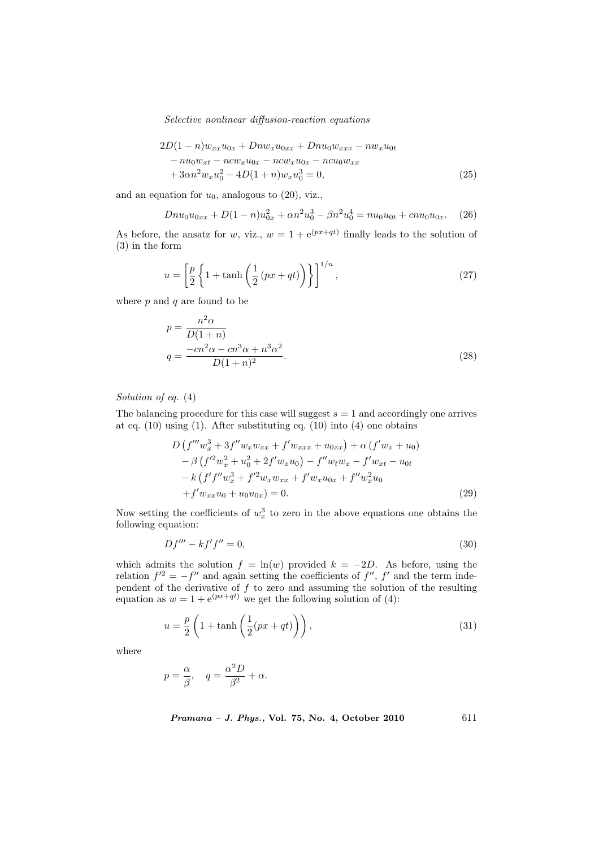$$
2D(1-n)w_{xx}u_{0x} + Dnw_{x}u_{0xx} + Dnu_{0}w_{xxx} - nw_{x}u_{0t}
$$
  
-
$$
nu_{0}w_{xt} - ncw_{x}u_{0x} - ncw_{x}u_{0x} - ncu_{0}w_{xx}
$$
  
+
$$
3\alpha n^{2}w_{x}u_{0}^{2} - 4D(1+n)w_{x}u_{0}^{3} = 0,
$$
 (25)

and an equation for  $u_0$ , analogous to (20), viz.,

$$
Dnu_0u_{0xx} + D(1-n)u_{0x}^2 + \alpha n^2 u_0^3 - \beta n^2 u_0^4 = nu_0u_{0t} + cnu_0u_{0x}.
$$
 (26)

As before, the ansatz for w, viz.,  $w = 1 + e^{(px+qt)}$  finally leads to the solution of (3) in the form

$$
u = \left[\frac{p}{2}\left\{1 + \tanh\left(\frac{1}{2}\left(px + qt\right)\right)\right\}\right]^{1/n},\tag{27}
$$

where  $p$  and  $q$  are found to be

$$
p = \frac{n^2 \alpha}{D(1+n)}
$$
  
\n
$$
q = \frac{-cn^2 \alpha - cn^3 \alpha + n^3 \alpha^2}{D(1+n)^2}.
$$
\n(28)

# Solution of eq.  $(4)$

The balancing procedure for this case will suggest  $s = 1$  and accordingly one arrives at eq. (10) using (1). After substituting eq. (10) into (4) one obtains

$$
D\left(f'''w_x^3 + 3f''w_xw_{xx} + f'w_{xxx} + u_{0xx}\right) + \alpha \left(f'w_x + u_0\right) - \beta \left(f'^2w_x^2 + u_0^2 + 2f'w_xu_0\right) - f''w_tw_x - f'w_{xt} - u_{0t} - k \left(f'f''w_x^3 + f'^2w_xw_{xx} + f'w_xu_{0x} + f''w_x^2u_0 + f'w_{xx}u_0 + u_0u_{0x}\right) = 0.
$$
 (29)

Now setting the coefficients of  $w_x^3$  to zero in the above equations one obtains the following equation:

$$
Df''' - kf'f'' = 0,\t\t(30)
$$

which admits the solution  $f = \ln(w)$  provided  $k = -2D$ . As before, using the relation  $f^{\prime 2} = -f^{\prime\prime}$  and again setting the coefficients of  $f^{\prime\prime}$ ,  $f^{\prime}$  and the term independent of the derivative of  $f$  to zero and assuming the solution of the resulting equation as  $w = 1 + e^{(px+qt)}$  we get the following solution of (4):

$$
u = \frac{p}{2} \left( 1 + \tanh\left(\frac{1}{2}(px + qt)\right) \right),\tag{31}
$$

where

$$
p=\frac{\alpha}{\beta}, \quad q=\frac{\alpha^2 D}{\beta^2}+\alpha.
$$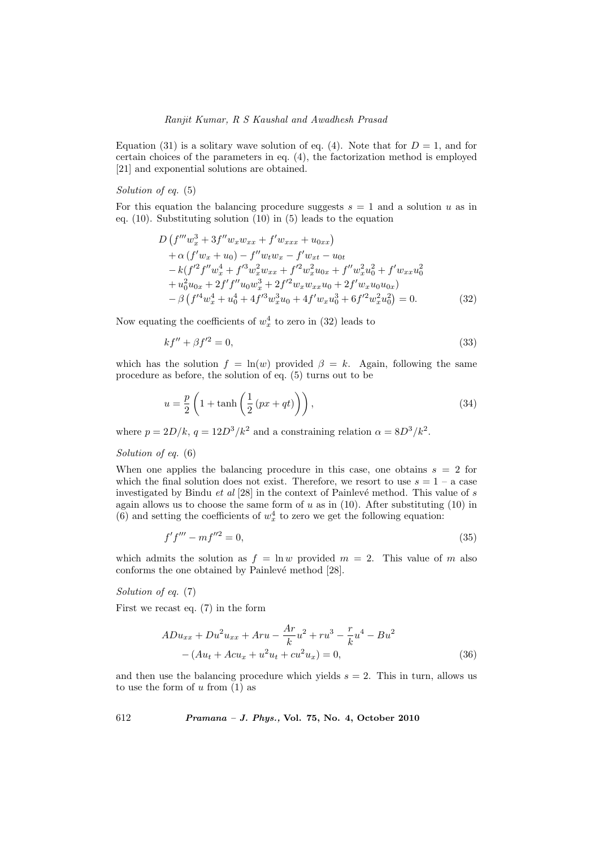Equation (31) is a solitary wave solution of eq. (4). Note that for  $D = 1$ , and for certain choices of the parameters in eq. (4), the factorization method is employed [21] and exponential solutions are obtained.

## Solution of eq.  $(5)$

For this equation the balancing procedure suggests  $s = 1$  and a solution u as in eq. (10). Substituting solution (10) in (5) leads to the equation

$$
D\left(f'''w_x^3 + 3f''w_xw_{xx} + f'w_{xxx} + u_{0xx}\right) + \alpha\left(f'w_x + u_0\right) - f''w_tw_x - f'w_{xt} - u_{0t} - k\left(f'^2f''w_x^4 + f'^3w_x^2w_{xx} + f'^2w_x^2u_{0x} + f''w_x^2u_0^2 + f'w_{xx}u_0^2 + u_0^2u_{0x} + 2f'f''u_0w_x^3 + 2f'^2w_xw_{xx}u_0 + 2f'w_xu_0u_{0x}) - \beta\left(f'^4w_x^4 + u_0^4 + 4f'^3w_x^3u_0 + 4f'w_xu_0^3 + 6f'^2w_x^2u_0^2\right) = 0.
$$
 (32)

Now equating the coefficients of  $w_x^4$  to zero in (32) leads to

$$
kf'' + \beta f'^2 = 0,\tag{33}
$$

which has the solution  $f = \ln(w)$  provided  $\beta = k$ . Again, following the same procedure as before, the solution of eq. (5) turns out to be

$$
u = \frac{p}{2} \left( 1 + \tanh\left(\frac{1}{2} \left(px + qt\right)\right) \right),\tag{34}
$$

where  $p = 2D/k$ ,  $q = 12D^3/k^2$  and a constraining relation  $\alpha = 8D^3/k^2$ .

#### Solution of eq.  $(6)$

When one applies the balancing procedure in this case, one obtains  $s = 2$  for which the final solution does not exist. Therefore, we resort to use  $s = 1 - a$  case investigated by Bindu  $et$  al [28] in the context of Painlevé method. This value of  $s$ again allows us to choose the same form of  $u$  as in (10). After substituting (10) in (6) and setting the coefficients of  $w_x^4$  to zero we get the following equation:

$$
f'f''' - mf''^2 = 0,\t\t(35)
$$

which admits the solution as  $f = \ln w$  provided  $m = 2$ . This value of m also conforms the one obtained by Painlevé method [28].

## Solution of eq.  $(7)$

First we recast eq. (7) in the form

$$
ADu_{xx} + Du^{2}u_{xx} + Aru - \frac{Ar}{k}u^{2} + ru^{3} - \frac{r}{k}u^{4} - Bu^{2}
$$

$$
- (Au_{t} + Acu_{x} + u^{2}u_{t} + cu^{2}u_{x}) = 0,
$$
 (36)

and then use the balancing procedure which yields  $s = 2$ . This in turn, allows us to use the form of  $u$  from  $(1)$  as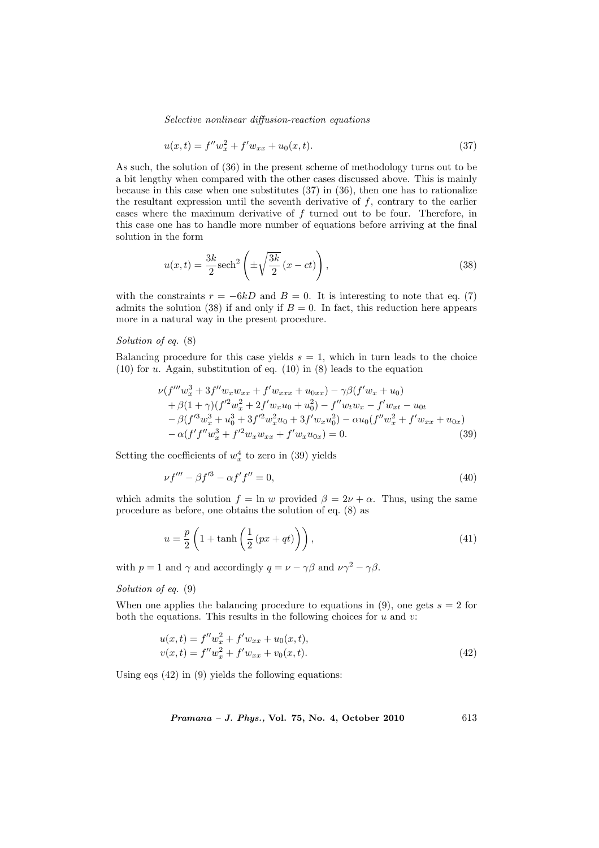$$
u(x,t) = f''w_x^2 + f'w_{xx} + u_0(x,t).
$$
\n(37)

As such, the solution of (36) in the present scheme of methodology turns out to be a bit lengthy when compared with the other cases discussed above. This is mainly because in this case when one substitutes (37) in (36), then one has to rationalize the resultant expression until the seventh derivative of  $f$ , contrary to the earlier cases where the maximum derivative of  $f$  turned out to be four. Therefore, in this case one has to handle more number of equations before arriving at the final solution in the form

$$
u(x,t) = \frac{3k}{2}\mathrm{sech}^2\left(\pm\sqrt{\frac{3k}{2}}\,(x-ct)\right),\tag{38}
$$

with the constraints  $r = -6kD$  and  $B = 0$ . It is interesting to note that eq. (7) admits the solution (38) if and only if  $B = 0$ . In fact, this reduction here appears more in a natural way in the present procedure.

### Solution of eq.  $(8)$

Balancing procedure for this case yields  $s = 1$ , which in turn leads to the choice  $(10)$  for u. Again, substitution of eq.  $(10)$  in  $(8)$  leads to the equation

$$
\nu(f'''w_x^3 + 3f''w_xw_{xx} + f'w_{xxx} + u_{0xx}) - \gamma\beta(f'w_x + u_0) \n+ \beta(1+\gamma)(f'^2w_x^2 + 2f'w_xu_0 + u_0^2) - f''w_tw_x - f'w_{xt} - u_{0t} \n- \beta(f'^3w_x^3 + u_0^3 + 3f'^2w_x^2u_0 + 3f'w_xu_0^2) - \alpha u_0(f''w_x^2 + f'w_{xx} + u_{0x}) \n- \alpha(f'f''w_x^3 + f'^2w_xw_{xx} + f'w_xu_{0x}) = 0.
$$
\n(39)

Setting the coefficients of  $w_x^4$  to zero in (39) yields

$$
\nu f''' - \beta f'^3 - \alpha f' f'' = 0,\tag{40}
$$

which admits the solution  $f = \ln w$  provided  $\beta = 2\nu + \alpha$ . Thus, using the same procedure as before, one obtains the solution of eq. (8) as

$$
u = \frac{p}{2} \left( 1 + \tanh\left(\frac{1}{2} \left(px + qt\right)\right) \right),\tag{41}
$$

with  $p = 1$  and  $\gamma$  and accordingly  $q = \nu - \gamma \beta$  and  $\nu \gamma^2 - \gamma \beta$ .

## Solution of eq.  $(9)$

When one applies the balancing procedure to equations in (9), one gets  $s = 2$  for both the equations. This results in the following choices for  $u$  and  $v$ :

$$
u(x,t) = f''w_x^2 + f'w_{xx} + u_0(x,t),
$$
  
\n
$$
v(x,t) = f''w_x^2 + f'w_{xx} + v_0(x,t).
$$
\n(42)

Using eqs (42) in (9) yields the following equations:

Pramana – J. Phys., Vol. 75, No. 4, October 2010

\n
$$
613
$$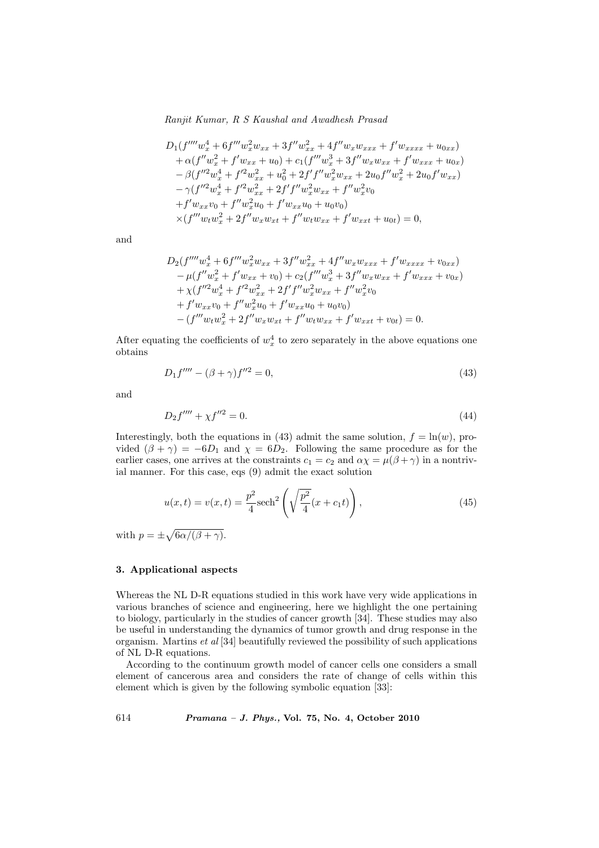$$
D_1(f''''w_x^4 + 6f''w_x^2w_{xx} + 3f''w_{xx}^2 + 4f''w_xw_{xxx} + f'w_{xxxx} + u_{0xx})
$$
  
+  $\alpha(f''w_x^2 + f'w_{xx} + u_0) + c_1(f'''w_x^3 + 3f''w_xw_{xx} + f'w_{xxx} + u_{0x})$   
-  $\beta(f''^2w_x^4 + f'^2w_{xx}^2 + u_0^2 + 2f'f''w_x^2w_{xx} + 2u_0f''w_x^2 + 2u_0f'w_{xx})$   
-  $\gamma(f''^2w_x^4 + f'^2w_{xx}^2 + 2f'f''w_x^2w_{xx} + f''w_x^2v_0$   
+  $f'w_{xx}v_0 + f''w_x^2u_0 + f'w_{xx}u_0 + u_0v_0)$   
× $(f'''w_tw_x^2 + 2f''w_xw_{xt} + f''w_tw_{xx} + f'w_{xxt} + u_{0t}) = 0,$ 

and

$$
D_2(f''''w_x^4 + 6f''w_x^2w_{xx} + 3f''w_{xx}^2 + 4f''w_xw_{xxx} + f'w_{xxxx} + v_{0xx})
$$
  
\n
$$
- \mu(f''w_x^2 + f'w_{xx} + v_0) + c_2(f'''w_x^3 + 3f''w_xw_{xx} + f'w_{xxx} + v_{0x})
$$
  
\n
$$
+ \chi(f''^2w_x^4 + f'^2w_{xx}^2 + 2f'f''w_x^2w_{xx} + f''w_x^2v_0
$$
  
\n
$$
+ f'w_{xx}v_0 + f''w_x^2u_0 + f'w_{xx}u_0 + u_0v_0)
$$
  
\n
$$
- (f'''w_tw_x^2 + 2f''w_xw_{xt} + f''w_tw_{xx} + f'w_{xxt} + v_{0t}) = 0.
$$

After equating the coefficients of  $w_x^4$  to zero separately in the above equations one obtains

$$
D_1 f''' - (\beta + \gamma) f''^2 = 0,\t\t(43)
$$

and

$$
D_2 f'''' + \chi f''^2 = 0. \tag{44}
$$

Interestingly, both the equations in (43) admit the same solution,  $f = \ln(w)$ , provided  $(\beta + \gamma) = -6D_1$  and  $\gamma = 6D_2$ . Following the same procedure as for the earlier cases, one arrives at the constraints  $c_1 = c_2$  and  $\alpha \chi = \mu(\beta + \gamma)$  in a nontrivial manner. For this case, eqs (9) admit the exact solution

$$
u(x,t) = v(x,t) = \frac{p^2}{4} \text{sech}^2\left(\sqrt{\frac{p^2}{4}}(x+c_1t)\right),\tag{45}
$$

with  $p = \pm$ p  $6\alpha/(\beta + \gamma)$ .

#### 3. Applicational aspects

Whereas the NL D-R equations studied in this work have very wide applications in various branches of science and engineering, here we highlight the one pertaining to biology, particularly in the studies of cancer growth [34]. These studies may also be useful in understanding the dynamics of tumor growth and drug response in the organism. Martins et al [34] beautifully reviewed the possibility of such applications of NL D-R equations.

According to the continuum growth model of cancer cells one considers a small element of cancerous area and considers the rate of change of cells within this element which is given by the following symbolic equation [33]: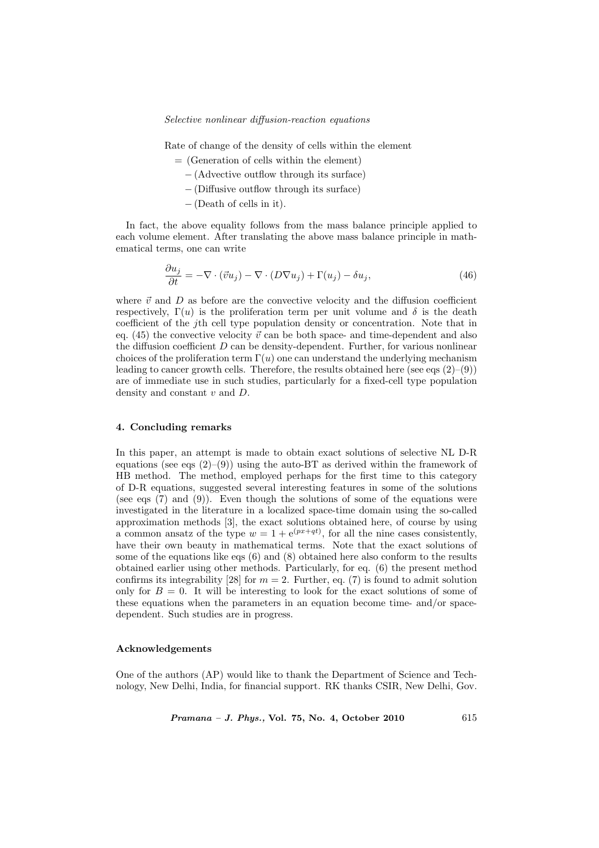Rate of change of the density of cells within the element

- = (Generation of cells within the element)
	- − (Advective outflow through its surface)
	- − (Diffusive outflow through its surface)
	- − (Death of cells in it).

In fact, the above equality follows from the mass balance principle applied to each volume element. After translating the above mass balance principle in mathematical terms, one can write

$$
\frac{\partial u_j}{\partial t} = -\nabla \cdot (\vec{v}u_j) - \nabla \cdot (D\nabla u_j) + \Gamma(u_j) - \delta u_j,
$$
\n(46)

where  $\vec{v}$  and D as before are the convective velocity and the diffusion coefficient respectively,  $\Gamma(u)$  is the proliferation term per unit volume and  $\delta$  is the death coefficient of the jth cell type population density or concentration. Note that in eq. (45) the convective velocity  $\vec{v}$  can be both space- and time-dependent and also the diffusion coefficient  $D$  can be density-dependent. Further, for various nonlinear choices of the proliferation term  $\Gamma(u)$  one can understand the underlying mechanism leading to cancer growth cells. Therefore, the results obtained here (see eqs  $(2)-(9)$ ) are of immediate use in such studies, particularly for a fixed-cell type population density and constant v and D.

#### 4. Concluding remarks

In this paper, an attempt is made to obtain exact solutions of selective NL D-R equations (see eqs  $(2)-(9)$ ) using the auto-BT as derived within the framework of HB method. The method, employed perhaps for the first time to this category of D-R equations, suggested several interesting features in some of the solutions (see eqs (7) and (9)). Even though the solutions of some of the equations were investigated in the literature in a localized space-time domain using the so-called approximation methods [3], the exact solutions obtained here, of course by using a common ansatz of the type  $w = 1 + e^{(px+qt)}$ , for all the nine cases consistently, have their own beauty in mathematical terms. Note that the exact solutions of some of the equations like eqs (6) and (8) obtained here also conform to the results obtained earlier using other methods. Particularly, for eq. (6) the present method confirms its integrability [28] for  $m = 2$ . Further, eq. (7) is found to admit solution only for  $B = 0$ . It will be interesting to look for the exact solutions of some of these equations when the parameters in an equation become time- and/or spacedependent. Such studies are in progress.

#### Acknowledgements

One of the authors (AP) would like to thank the Department of Science and Technology, New Delhi, India, for financial support. RK thanks CSIR, New Delhi, Gov.